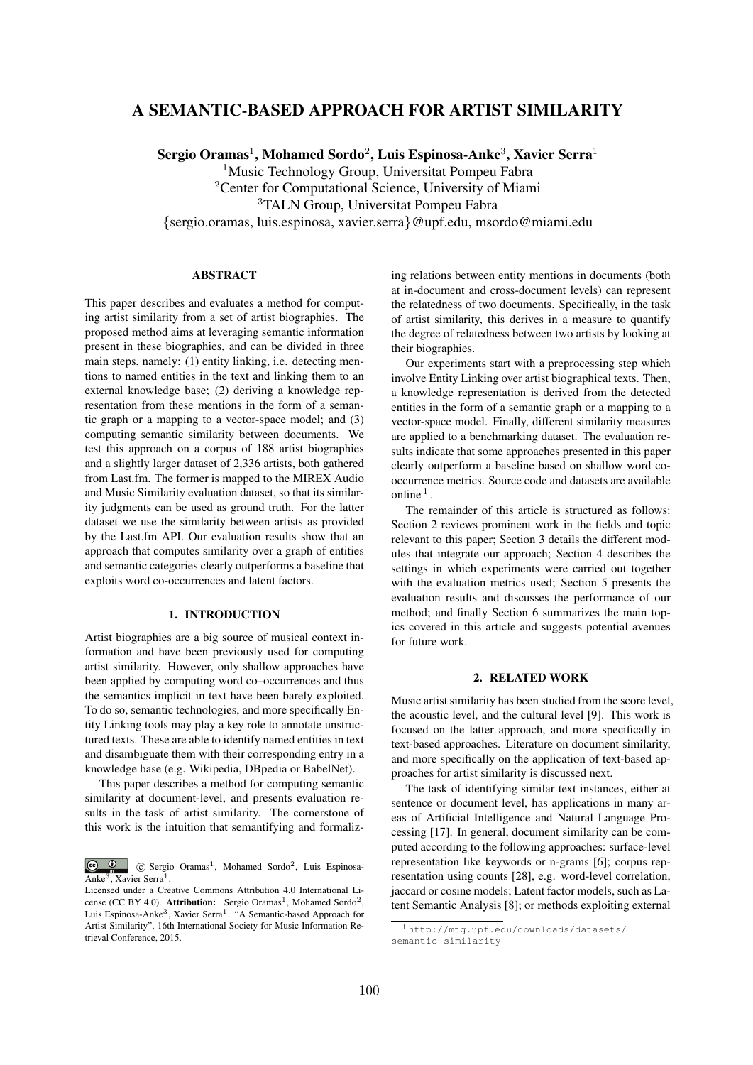# A SEMANTIC-BASED APPROACH FOR ARTIST SIMILARITY

Sergio Oramas<sup>1</sup>, Mohamed Sordo<sup>2</sup>, Luis Espinosa-Anke<sup>3</sup>, Xavier Serra<sup>1</sup>

<sup>1</sup>Music Technology Group, Universitat Pompeu Fabra <sup>2</sup>Center for Computational Science, University of Miami <sup>3</sup>TALN Group, Universitat Pompeu Fabra

*{*sergio.oramas, luis.espinosa, xavier.serra*}*@upf.edu, msordo@miami.edu

# **ABSTRACT**

This paper describes and evaluates a method for computing artist similarity from a set of artist biographies. The proposed method aims at leveraging semantic information present in these biographies, and can be divided in three main steps, namely: (1) entity linking, i.e. detecting mentions to named entities in the text and linking them to an external knowledge base; (2) deriving a knowledge representation from these mentions in the form of a semantic graph or a mapping to a vector-space model; and (3) computing semantic similarity between documents. We test this approach on a corpus of 188 artist biographies and a slightly larger dataset of 2,336 artists, both gathered from Last.fm. The former is mapped to the MIREX Audio and Music Similarity evaluation dataset, so that its similarity judgments can be used as ground truth. For the latter dataset we use the similarity between artists as provided by the Last.fm API. Our evaluation results show that an approach that computes similarity over a graph of entities and semantic categories clearly outperforms a baseline that exploits word co-occurrences and latent factors.

# 1. INTRODUCTION

Artist biographies are a big source of musical context information and have been previously used for computing artist similarity. However, only shallow approaches have been applied by computing word co–occurrences and thus the semantics implicit in text have been barely exploited. To do so, semantic technologies, and more specifically Entity Linking tools may play a key role to annotate unstructured texts. These are able to identify named entities in text and disambiguate them with their corresponding entry in a knowledge base (e.g. Wikipedia, DBpedia or BabelNet).

This paper describes a method for computing semantic similarity at document-level, and presents evaluation results in the task of artist similarity. The cornerstone of this work is the intuition that semantifying and formalizing relations between entity mentions in documents (both at in-document and cross-document levels) can represent the relatedness of two documents. Specifically, in the task of artist similarity, this derives in a measure to quantify the degree of relatedness between two artists by looking at their biographies.

Our experiments start with a preprocessing step which involve Entity Linking over artist biographical texts. Then, a knowledge representation is derived from the detected entities in the form of a semantic graph or a mapping to a vector-space model. Finally, different similarity measures are applied to a benchmarking dataset. The evaluation results indicate that some approaches presented in this paper clearly outperform a baseline based on shallow word cooccurrence metrics. Source code and datasets are available online  $1$ 

The remainder of this article is structured as follows: Section 2 reviews prominent work in the fields and topic relevant to this paper; Section 3 details the different modules that integrate our approach; Section 4 describes the settings in which experiments were carried out together with the evaluation metrics used; Section 5 presents the evaluation results and discusses the performance of our method; and finally Section 6 summarizes the main topics covered in this article and suggests potential avenues for future work.

#### 2. RELATED WORK

Music artist similarity has been studied from the score level, the acoustic level, and the cultural level [9]. This work is focused on the latter approach, and more specifically in text-based approaches. Literature on document similarity, and more specifically on the application of text-based approaches for artist similarity is discussed next.

The task of identifying similar text instances, either at sentence or document level, has applications in many areas of Artificial Intelligence and Natural Language Processing [17]. In general, document similarity can be computed according to the following approaches: surface-level representation like keywords or n-grams [6]; corpus representation using counts [28], e.g. word-level correlation, jaccard or cosine models; Latent factor models, such as Latent Semantic Analysis [8]; or methods exploiting external

<sup>c</sup> Sergio Oramas1, Mohamed Sordo2, Luis Espinosa-Anke<sup>3</sup>, Xavier Serra<sup>1</sup>.

Licensed under a Creative Commons Attribution 4.0 International License (CC BY 4.0). Attribution: Sergio Oramas<sup>1</sup>, Mohamed Sordo<sup>2</sup>, Luis Espinosa-Anke<sup>3</sup>, Xavier Serra<sup>1</sup>. "A Semantic-based Approach for Artist Similarity", 16th International Society for Music Information Retrieval Conference, 2015.

<sup>1</sup> http://mtg.upf.edu/downloads/datasets/ semantic-similarity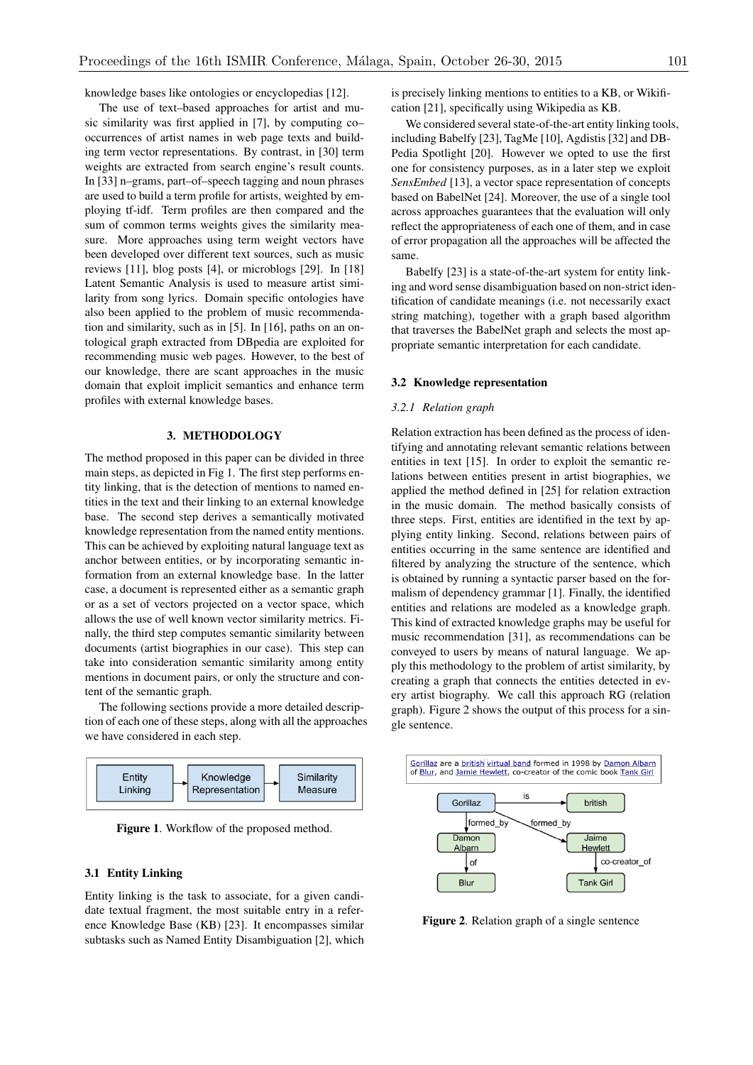knowledge bases like ontologies or encyclopedias [12].

The use of text–based approaches for artist and music similarity was first applied in [7], by computing co– occurrences of artist names in web page texts and building term vector representations. By contrast, in [30] term weights are extracted from search engine's result counts. In [33] n–grams, part–of–speech tagging and noun phrases are used to build a term profile for artists, weighted by employing tf-idf. Term profiles are then compared and the sum of common terms weights gives the similarity measure. More approaches using term weight vectors have been developed over different text sources, such as music reviews [11], blog posts [4], or microblogs [29]. In [18] Latent Semantic Analysis is used to measure artist similarity from song lyrics. Domain specific ontologies have also been applied to the problem of music recommendation and similarity, such as in [5]. In [16], paths on an ontological graph extracted from DBpedia are exploited for recommending music web pages. However, to the best of our knowledge, there are scant approaches in the music domain that exploit implicit semantics and enhance term profiles with external knowledge bases.

#### 3. METHODOLOGY

The method proposed in this paper can be divided in three main steps, as depicted in Fig 1. The first step performs entity linking, that is the detection of mentions to named entities in the text and their linking to an external knowledge base. The second step derives a semantically motivated knowledge representation from the named entity mentions. This can be achieved by exploiting natural language text as anchor between entities, or by incorporating semantic information from an external knowledge base. In the latter case, a document is represented either as a semantic graph or as a set of vectors projected on a vector space, which allows the use of well known vector similarity metrics. Finally, the third step computes semantic similarity between documents (artist biographies in our case). This step can take into consideration semantic similarity among entity mentions in document pairs, or only the structure and content of the semantic graph.

The following sections provide a more detailed description of each one of these steps, along with all the approaches we have considered in each step.



Figure 1. Workflow of the proposed method.

## 3.1 Entity Linking

Entity linking is the task to associate, for a given candidate textual fragment, the most suitable entry in a reference Knowledge Base (KB) [23]. It encompasses similar subtasks such as Named Entity Disambiguation [2], which is precisely linking mentions to entities to a KB, or Wikification [21], specifically using Wikipedia as KB.

We considered several state-of-the-art entity linking tools, including Babelfy [23], TagMe [10], Agdistis [32] and DB-Pedia Spotlight [20]. However we opted to use the first one for consistency purposes, as in a later step we exploit *SensEmbed* [13], a vector space representation of concepts based on BabelNet [24]. Moreover, the use of a single tool across approaches guarantees that the evaluation will only reflect the appropriateness of each one of them, and in case of error propagation all the approaches will be affected the same.

Babelfy [23] is a state-of-the-art system for entity linking and word sense disambiguation based on non-strict identification of candidate meanings (i.e. not necessarily exact string matching), together with a graph based algorithm that traverses the BabelNet graph and selects the most appropriate semantic interpretation for each candidate.

#### 3.2 Knowledge representation

## *3.2.1 Relation graph*

Relation extraction has been defined as the process of identifying and annotating relevant semantic relations between entities in text [15]. In order to exploit the semantic relations between entities present in artist biographies, we applied the method defined in [25] for relation extraction in the music domain. The method basically consists of three steps. First, entities are identified in the text by applying entity linking. Second, relations between pairs of entities occurring in the same sentence are identified and filtered by analyzing the structure of the sentence, which is obtained by running a syntactic parser based on the formalism of dependency grammar [1]. Finally, the identified entities and relations are modeled as a knowledge graph. This kind of extracted knowledge graphs may be useful for music recommendation [31], as recommendations can be conveyed to users by means of natural language. We apply this methodology to the problem of artist similarity, by creating a graph that connects the entities detected in every artist biography. We call this approach RG (relation graph). Figure 2 shows the output of this process for a single sentence.



Figure 2. Relation graph of a single sentence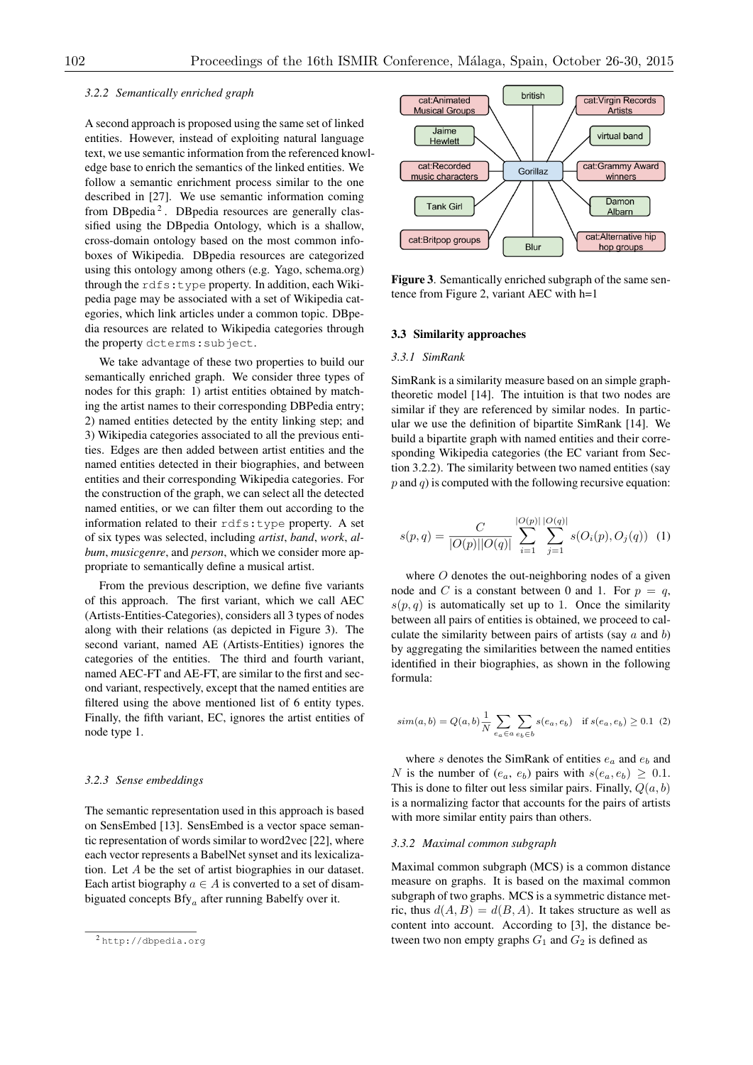### *3.2.2 Semantically enriched graph*

A second approach is proposed using the same set of linked entities. However, instead of exploiting natural language text, we use semantic information from the referenced knowledge base to enrich the semantics of the linked entities. We follow a semantic enrichment process similar to the one described in [27]. We use semantic information coming from DBpedia $^2$ . DBpedia resources are generally classified using the DBpedia Ontology, which is a shallow, cross-domain ontology based on the most common infoboxes of Wikipedia. DBpedia resources are categorized using this ontology among others (e.g. Yago, schema.org) through the rdfs:type property. In addition, each Wikipedia page may be associated with a set of Wikipedia categories, which link articles under a common topic. DBpedia resources are related to Wikipedia categories through the property dcterms:subject.

We take advantage of these two properties to build our semantically enriched graph. We consider three types of nodes for this graph: 1) artist entities obtained by matching the artist names to their corresponding DBPedia entry; 2) named entities detected by the entity linking step; and 3) Wikipedia categories associated to all the previous entities. Edges are then added between artist entities and the named entities detected in their biographies, and between entities and their corresponding Wikipedia categories. For the construction of the graph, we can select all the detected named entities, or we can filter them out according to the information related to their rdfs:type property. A set of six types was selected, including *artist*, *band*, *work*, *album*, *musicgenre*, and *person*, which we consider more appropriate to semantically define a musical artist.

From the previous description, we define five variants of this approach. The first variant, which we call AEC (Artists-Entities-Categories), considers all 3 types of nodes along with their relations (as depicted in Figure 3). The second variant, named AE (Artists-Entities) ignores the categories of the entities. The third and fourth variant, named AEC-FT and AE-FT, are similar to the first and second variant, respectively, except that the named entities are filtered using the above mentioned list of 6 entity types. Finally, the fifth variant, EC, ignores the artist entities of node type 1.

#### *3.2.3 Sense embeddings*

The semantic representation used in this approach is based on SensEmbed [13]. SensEmbed is a vector space semantic representation of words similar to word2vec [22], where each vector represents a BabelNet synset and its lexicalization. Let *A* be the set of artist biographies in our dataset. Each artist biography  $a \in A$  is converted to a set of disambiguated concepts Bfy*<sup>a</sup>* after running Babelfy over it.



Figure 3. Semantically enriched subgraph of the same sentence from Figure 2, variant AEC with h=1

# 3.3 Similarity approaches

#### *3.3.1 SimRank*

SimRank is a similarity measure based on an simple graphtheoretic model [14]. The intuition is that two nodes are similar if they are referenced by similar nodes. In particular we use the definition of bipartite SimRank [14]. We build a bipartite graph with named entities and their corresponding Wikipedia categories (the EC variant from Section 3.2.2). The similarity between two named entities (say  $p$  and  $q$ ) is computed with the following recursive equation:

$$
s(p,q) = \frac{C}{|O(p)||O(q)|} \sum_{i=1}^{|O(p)|} \sum_{j=1}^{|O(q)|} s(O_i(p), O_j(q)) \quad (1)
$$

where *O* denotes the out-neighboring nodes of a given node and *C* is a constant between 0 and 1. For  $p = q$ ,  $s(p, q)$  is automatically set up to 1. Once the similarity between all pairs of entities is obtained, we proceed to calculate the similarity between pairs of artists (say *a* and *b*) by aggregating the similarities between the named entities identified in their biographies, as shown in the following formula:

$$
sim(a, b) = Q(a, b)\frac{1}{N} \sum_{e_a \in a} \sum_{e_b \in b} s(e_a, e_b) \text{ if } s(e_a, e_b) \ge 0.1 \tag{2}
$$

where *s* denotes the SimRank of entities *e<sup>a</sup>* and *e<sup>b</sup>* and *N* is the number of  $(e_a, e_b)$  pairs with  $s(e_a, e_b) \geq 0.1$ . This is done to filter out less similar pairs. Finally, *Q*(*a, b*) is a normalizing factor that accounts for the pairs of artists with more similar entity pairs than others.

#### *3.3.2 Maximal common subgraph*

Maximal common subgraph (MCS) is a common distance measure on graphs. It is based on the maximal common subgraph of two graphs. MCS is a symmetric distance metric, thus  $d(A, B) = d(B, A)$ . It takes structure as well as content into account. According to [3], the distance between two non empty graphs  $G_1$  and  $G_2$  is defined as

<sup>2</sup> http://dbpedia.org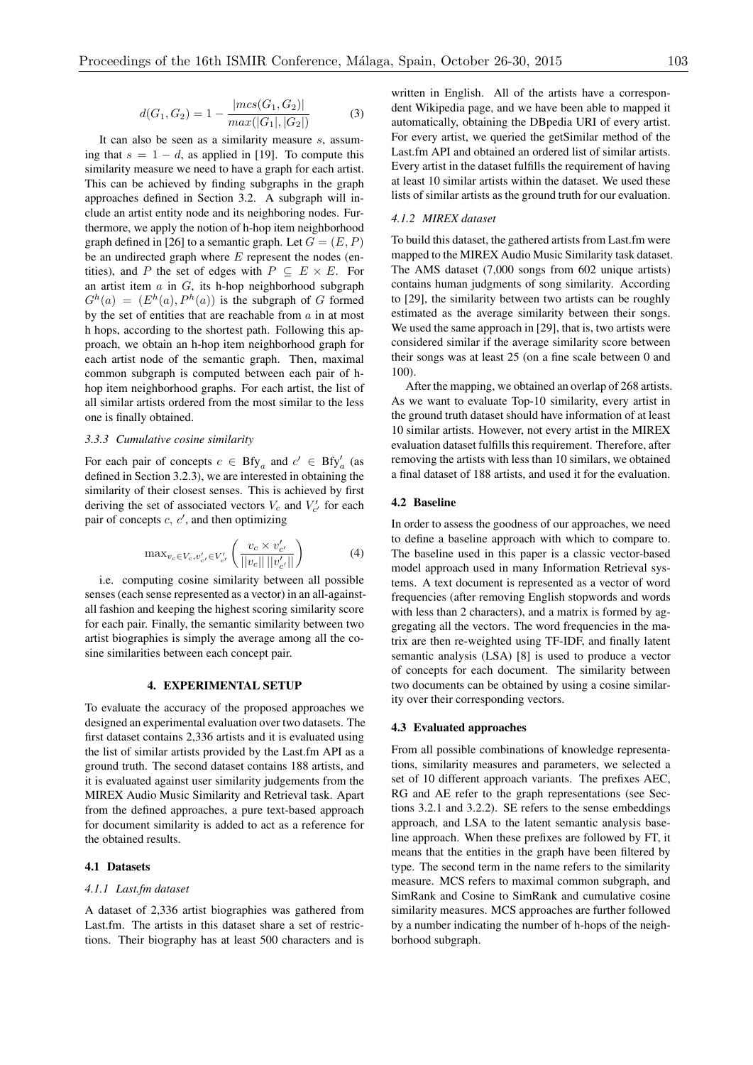$$
d(G_1, G_2) = 1 - \frac{|mcs(G_1, G_2)|}{max(|G_1|, |G_2|)}
$$
(3)

It can also be seen as a similarity measure *s*, assuming that  $s = 1 - d$ , as applied in [19]. To compute this similarity measure we need to have a graph for each artist. This can be achieved by finding subgraphs in the graph approaches defined in Section 3.2. A subgraph will include an artist entity node and its neighboring nodes. Furthermore, we apply the notion of h-hop item neighborhood graph defined in [26] to a semantic graph. Let  $G = (E, P)$ be an undirected graph where *E* represent the nodes (entities), and *P* the set of edges with  $P \subseteq E \times E$ . For an artist item *a* in *G*, its h-hop neighborhood subgraph  $G^h(a) = (E^h(a), P^h(a))$  is the subgraph of *G* formed by the set of entities that are reachable from *a* in at most h hops, according to the shortest path. Following this approach, we obtain an h-hop item neighborhood graph for each artist node of the semantic graph. Then, maximal common subgraph is computed between each pair of hhop item neighborhood graphs. For each artist, the list of all similar artists ordered from the most similar to the less one is finally obtained.

### *3.3.3 Cumulative cosine similarity*

For each pair of concepts  $c \in Bfy_a$  and  $c' \in Bfy'_a$  (as defined in Section 3.2.3), we are interested in obtaining the similarity of their closest senses. This is achieved by first deriving the set of associated vectors  $V_c$  and  $V'_{c'}$  for each pair of concepts  $c, c'$ , and then optimizing

$$
\max_{v_c \in V_c, v'_{c'} \in V'_{c'}} \left( \frac{v_c \times v'_{c'}}{||v_c|| \, ||v'_{c'}||} \right) \tag{4}
$$

i.e. computing cosine similarity between all possible senses (each sense represented as a vector) in an all-againstall fashion and keeping the highest scoring similarity score for each pair. Finally, the semantic similarity between two artist biographies is simply the average among all the cosine similarities between each concept pair.

## 4. EXPERIMENTAL SETUP

To evaluate the accuracy of the proposed approaches we designed an experimental evaluation over two datasets. The first dataset contains 2,336 artists and it is evaluated using the list of similar artists provided by the Last.fm API as a ground truth. The second dataset contains 188 artists, and it is evaluated against user similarity judgements from the MIREX Audio Music Similarity and Retrieval task. Apart from the defined approaches, a pure text-based approach for document similarity is added to act as a reference for the obtained results.

## 4.1 Datasets

#### *4.1.1 Last.fm dataset*

A dataset of 2,336 artist biographies was gathered from Last.fm. The artists in this dataset share a set of restrictions. Their biography has at least 500 characters and is

written in English. All of the artists have a correspondent Wikipedia page, and we have been able to mapped it automatically, obtaining the DBpedia URI of every artist. For every artist, we queried the getSimilar method of the Last.fm API and obtained an ordered list of similar artists. Every artist in the dataset fulfills the requirement of having at least 10 similar artists within the dataset. We used these lists of similar artists as the ground truth for our evaluation.

#### *4.1.2 MIREX dataset*

To build this dataset, the gathered artists from Last.fm were mapped to the MIREX Audio Music Similarity task dataset. The AMS dataset (7,000 songs from 602 unique artists) contains human judgments of song similarity. According to [29], the similarity between two artists can be roughly estimated as the average similarity between their songs. We used the same approach in [29], that is, two artists were considered similar if the average similarity score between their songs was at least 25 (on a fine scale between 0 and 100).

After the mapping, we obtained an overlap of 268 artists. As we want to evaluate Top-10 similarity, every artist in the ground truth dataset should have information of at least 10 similar artists. However, not every artist in the MIREX evaluation dataset fulfills this requirement. Therefore, after removing the artists with less than 10 similars, we obtained a final dataset of 188 artists, and used it for the evaluation.

#### 4.2 Baseline

In order to assess the goodness of our approaches, we need to define a baseline approach with which to compare to. The baseline used in this paper is a classic vector-based model approach used in many Information Retrieval systems. A text document is represented as a vector of word frequencies (after removing English stopwords and words with less than 2 characters), and a matrix is formed by aggregating all the vectors. The word frequencies in the matrix are then re-weighted using TF-IDF, and finally latent semantic analysis (LSA) [8] is used to produce a vector of concepts for each document. The similarity between two documents can be obtained by using a cosine similarity over their corresponding vectors.

### 4.3 Evaluated approaches

From all possible combinations of knowledge representations, similarity measures and parameters, we selected a set of 10 different approach variants. The prefixes AEC, RG and AE refer to the graph representations (see Sections 3.2.1 and 3.2.2). SE refers to the sense embeddings approach, and LSA to the latent semantic analysis baseline approach. When these prefixes are followed by FT, it means that the entities in the graph have been filtered by type. The second term in the name refers to the similarity measure. MCS refers to maximal common subgraph, and SimRank and Cosine to SimRank and cumulative cosine similarity measures. MCS approaches are further followed by a number indicating the number of h-hops of the neighborhood subgraph.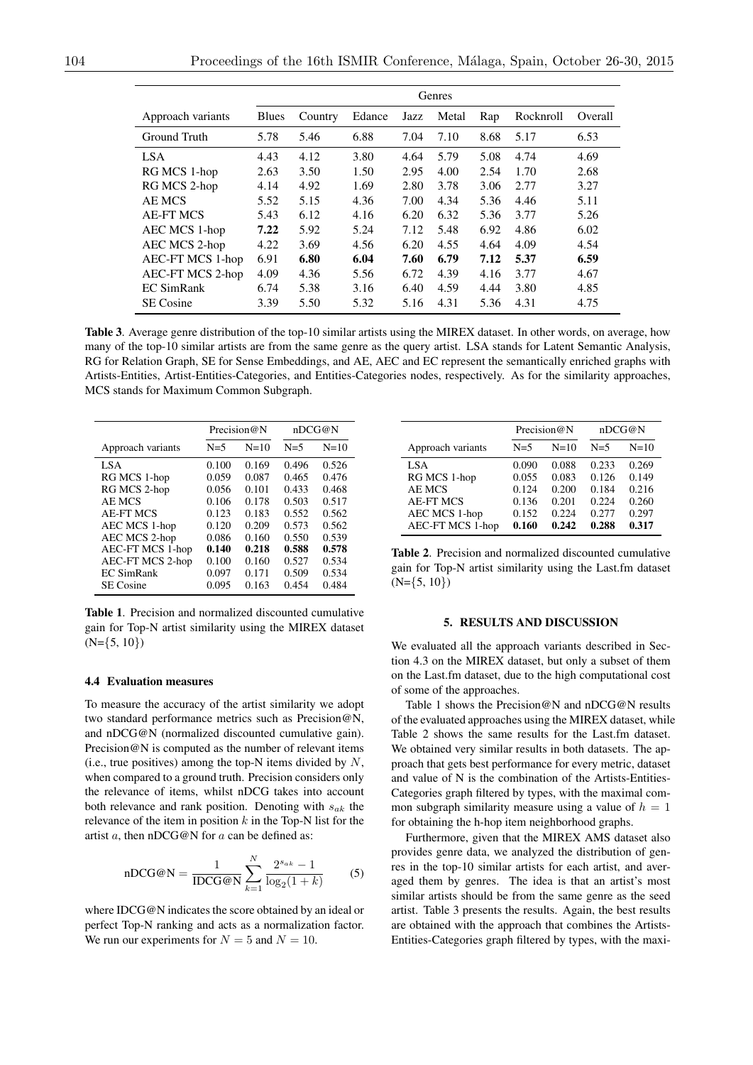|                   | Genres       |         |        |      |       |      |           |         |
|-------------------|--------------|---------|--------|------|-------|------|-----------|---------|
| Approach variants | <b>Blues</b> | Country | Edance | Jazz | Metal | Rap  | Rocknroll | Overall |
| Ground Truth      | 5.78         | 5.46    | 6.88   | 7.04 | 7.10  | 8.68 | 5.17      | 6.53    |
| LSA               | 4.43         | 4.12    | 3.80   | 4.64 | 5.79  | 5.08 | 4.74      | 4.69    |
| RG MCS 1-hop      | 2.63         | 3.50    | 1.50   | 2.95 | 4.00  | 2.54 | 1.70      | 2.68    |
| RG MCS 2-hop      | 4.14         | 4.92    | 1.69   | 2.80 | 3.78  | 3.06 | 2.77      | 3.27    |
| AE MCS            | 5.52         | 5.15    | 4.36   | 7.00 | 4.34  | 5.36 | 4.46      | 5.11    |
| <b>AE-FT MCS</b>  | 5.43         | 6.12    | 4.16   | 6.20 | 6.32  | 5.36 | 3.77      | 5.26    |
| AEC MCS 1-hop     | 7.22         | 5.92    | 5.24   | 7.12 | 5.48  | 6.92 | 4.86      | 6.02    |
| AEC MCS 2-hop     | 4.22         | 3.69    | 4.56   | 6.20 | 4.55  | 4.64 | 4.09      | 4.54    |
| AEC-FT MCS 1-hop  | 6.91         | 6.80    | 6.04   | 7.60 | 6.79  | 7.12 | 5.37      | 6.59    |
| AEC-FT MCS 2-hop  | 4.09         | 4.36    | 5.56   | 6.72 | 4.39  | 4.16 | 3.77      | 4.67    |
| <b>EC SimRank</b> | 6.74         | 5.38    | 3.16   | 6.40 | 4.59  | 4.44 | 3.80      | 4.85    |
| <b>SE</b> Cosine  | 3.39         | 5.50    | 5.32   | 5.16 | 4.31  | 5.36 | 4.31      | 4.75    |

Table 3. Average genre distribution of the top-10 similar artists using the MIREX dataset. In other words, on average, how many of the top-10 similar artists are from the same genre as the query artist. LSA stands for Latent Semantic Analysis, RG for Relation Graph, SE for Sense Embeddings, and AE, AEC and EC represent the semantically enriched graphs with Artists-Entities, Artist-Entities-Categories, and Entities-Categories nodes, respectively. As for the similarity approaches, MCS stands for Maximum Common Subgraph.

|                         |       | Precision $@N$ |       | nDCG@N |
|-------------------------|-------|----------------|-------|--------|
| Approach variants       | $N=5$ | $N=10$         | $N=5$ | $N=10$ |
| LSA                     | 0.100 | 0.169          | 0.496 | 0.526  |
| RG MCS 1-hop            | 0.059 | 0.087          | 0.465 | 0.476  |
| RG MCS 2-hop            | 0.056 | 0.101          | 0.433 | 0.468  |
| AE MCS                  | 0.106 | 0.178          | 0.503 | 0.517  |
| <b>AE-FT MCS</b>        | 0.123 | 0.183          | 0.552 | 0.562  |
| AEC MCS 1-hop           | 0.120 | 0.209          | 0.573 | 0.562  |
| AEC MCS 2-hop           | 0.086 | 0.160          | 0.550 | 0.539  |
| AEC-FT MCS 1-hop        | 0.140 | 0.218          | 0.588 | 0.578  |
| <b>AEC-FT MCS 2-hop</b> | 0.100 | 0.160          | 0.527 | 0.534  |
| <b>EC SimRank</b>       | 0.097 | 0.171          | 0.509 | 0.534  |
| <b>SE</b> Cosine        | 0.095 | 0.163          | 0.454 | 0.484  |

Table 1. Precision and normalized discounted cumulative gain for Top-N artist similarity using the MIREX dataset (N=*{*5, 10*}*)

## 4.4 Evaluation measures

To measure the accuracy of the artist similarity we adopt two standard performance metrics such as Precision@N, and nDCG@N (normalized discounted cumulative gain). Precision@N is computed as the number of relevant items (i.e., true positives) among the top-N items divided by *N*, when compared to a ground truth. Precision considers only the relevance of items, whilst nDCG takes into account both relevance and rank position. Denoting with *sak* the relevance of the item in position *k* in the Top-N list for the artist *a*, then nDCG@N for *a* can be defined as:

$$
nDCG@N = \frac{1}{IDCG@N} \sum_{k=1}^{N} \frac{2^{s_{ak}} - 1}{\log_2(1+k)} \tag{5}
$$

where IDCG@N indicates the score obtained by an ideal or perfect Top-N ranking and acts as a normalization factor. We run our experiments for  $N = 5$  and  $N = 10$ .

|                                                                                                             |                                                    | Precision@N                                        | nDCG@N                                             |                                                    |
|-------------------------------------------------------------------------------------------------------------|----------------------------------------------------|----------------------------------------------------|----------------------------------------------------|----------------------------------------------------|
| Approach variants                                                                                           | $N=5$                                              | $N=10$                                             | $N=5$                                              | $N=10$                                             |
| LSA<br>RG MCS 1-hop<br><b>AE MCS</b><br><b>AE-FT MCS</b><br><b>AEC MCS 1-hop</b><br><b>AEC-FT MCS 1-hop</b> | 0.090<br>0.055<br>0.124<br>0.136<br>0.152<br>0.160 | 0.088<br>0.083<br>0.200<br>0.201<br>0.224<br>0.242 | 0.233<br>0.126<br>0.184<br>0.224<br>0.277<br>0.288 | 0.269<br>0.149<br>0.216<br>0.260<br>0.297<br>0.317 |

Table 2. Precision and normalized discounted cumulative gain for Top-N artist similarity using the Last.fm dataset (N=*{*5, 10*}*)

## 5. RESULTS AND DISCUSSION

We evaluated all the approach variants described in Section 4.3 on the MIREX dataset, but only a subset of them on the Last.fm dataset, due to the high computational cost of some of the approaches.

Table 1 shows the Precision@N and nDCG@N results of the evaluated approaches using the MIREX dataset, while Table 2 shows the same results for the Last.fm dataset. We obtained very similar results in both datasets. The approach that gets best performance for every metric, dataset and value of N is the combination of the Artists-Entities-Categories graph filtered by types, with the maximal common subgraph similarity measure using a value of  $h = 1$ for obtaining the h-hop item neighborhood graphs.

Furthermore, given that the MIREX AMS dataset also provides genre data, we analyzed the distribution of genres in the top-10 similar artists for each artist, and averaged them by genres. The idea is that an artist's most similar artists should be from the same genre as the seed artist. Table 3 presents the results. Again, the best results are obtained with the approach that combines the Artists-Entities-Categories graph filtered by types, with the maxi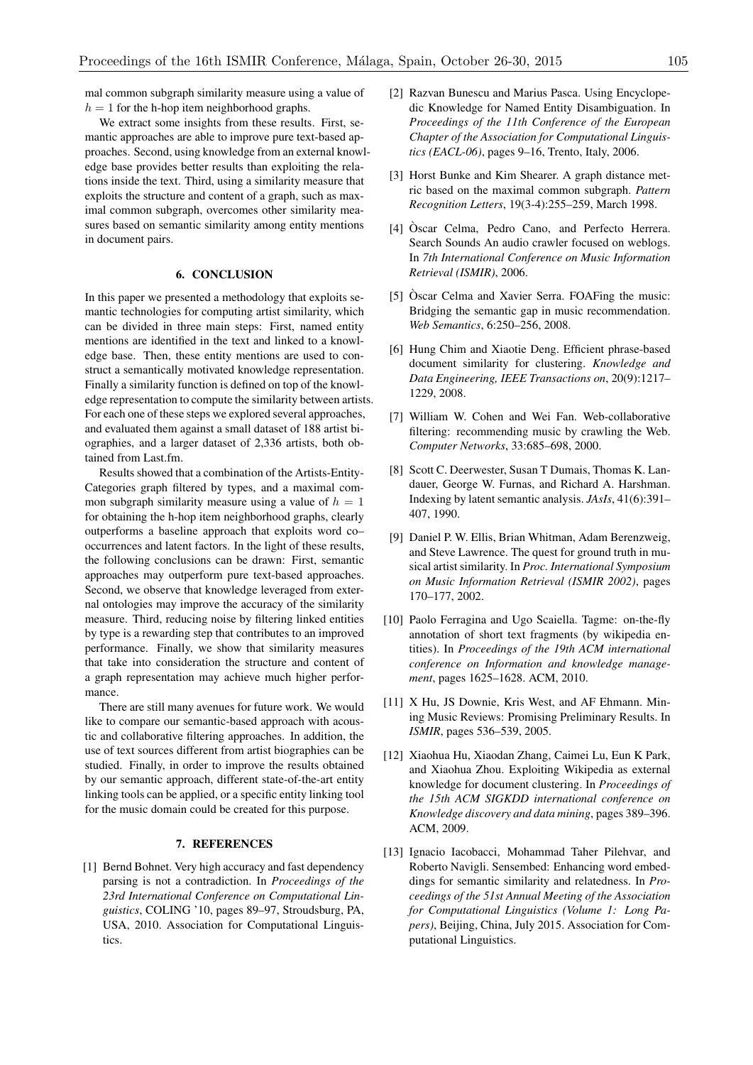mal common subgraph similarity measure using a value of  $h = 1$  for the h-hop item neighborhood graphs.

We extract some insights from these results. First, semantic approaches are able to improve pure text-based approaches. Second, using knowledge from an external knowledge base provides better results than exploiting the relations inside the text. Third, using a similarity measure that exploits the structure and content of a graph, such as maximal common subgraph, overcomes other similarity measures based on semantic similarity among entity mentions in document pairs.

# 6. CONCLUSION

In this paper we presented a methodology that exploits semantic technologies for computing artist similarity, which can be divided in three main steps: First, named entity mentions are identified in the text and linked to a knowledge base. Then, these entity mentions are used to construct a semantically motivated knowledge representation. Finally a similarity function is defined on top of the knowledge representation to compute the similarity between artists. For each one of these steps we explored several approaches, and evaluated them against a small dataset of 188 artist biographies, and a larger dataset of 2,336 artists, both obtained from Last.fm.

Results showed that a combination of the Artists-Entity-Categories graph filtered by types, and a maximal common subgraph similarity measure using a value of  $h = 1$ for obtaining the h-hop item neighborhood graphs, clearly outperforms a baseline approach that exploits word co– occurrences and latent factors. In the light of these results, the following conclusions can be drawn: First, semantic approaches may outperform pure text-based approaches. Second, we observe that knowledge leveraged from external ontologies may improve the accuracy of the similarity measure. Third, reducing noise by filtering linked entities by type is a rewarding step that contributes to an improved performance. Finally, we show that similarity measures that take into consideration the structure and content of a graph representation may achieve much higher performance.

There are still many avenues for future work. We would like to compare our semantic-based approach with acoustic and collaborative filtering approaches. In addition, the use of text sources different from artist biographies can be studied. Finally, in order to improve the results obtained by our semantic approach, different state-of-the-art entity linking tools can be applied, or a specific entity linking tool for the music domain could be created for this purpose.

## 7. REFERENCES

[1] Bernd Bohnet. Very high accuracy and fast dependency parsing is not a contradiction. In *Proceedings of the 23rd International Conference on Computational Linguistics*, COLING '10, pages 89–97, Stroudsburg, PA, USA, 2010. Association for Computational Linguistics.

- [2] Razvan Bunescu and Marius Pasca. Using Encyclopedic Knowledge for Named Entity Disambiguation. In *Proceedings of the 11th Conference of the European Chapter of the Association for Computational Linguistics (EACL-06)*, pages 9–16, Trento, Italy, 2006.
- [3] Horst Bunke and Kim Shearer. A graph distance metric based on the maximal common subgraph. *Pattern Recognition Letters*, 19(3-4):255–259, March 1998.
- [4] Òscar Celma, Pedro Cano, and Perfecto Herrera. Search Sounds An audio crawler focused on weblogs. In *7th International Conference on Music Information Retrieval (ISMIR)*, 2006.
- [5] Òscar Celma and Xavier Serra. FOAFing the music: Bridging the semantic gap in music recommendation. *Web Semantics*, 6:250–256, 2008.
- [6] Hung Chim and Xiaotie Deng. Efficient phrase-based document similarity for clustering. *Knowledge and Data Engineering, IEEE Transactions on*, 20(9):1217– 1229, 2008.
- [7] William W. Cohen and Wei Fan. Web-collaborative filtering: recommending music by crawling the Web. *Computer Networks*, 33:685–698, 2000.
- [8] Scott C. Deerwester, Susan T Dumais, Thomas K. Landauer, George W. Furnas, and Richard A. Harshman. Indexing by latent semantic analysis. *JAsIs*, 41(6):391– 407, 1990.
- [9] Daniel P. W. Ellis, Brian Whitman, Adam Berenzweig, and Steve Lawrence. The quest for ground truth in musical artist similarity. In *Proc. International Symposium on Music Information Retrieval (ISMIR 2002)*, pages 170–177, 2002.
- [10] Paolo Ferragina and Ugo Scaiella. Tagme: on-the-fly annotation of short text fragments (by wikipedia entities). In *Proceedings of the 19th ACM international conference on Information and knowledge management*, pages 1625–1628. ACM, 2010.
- [11] X Hu, JS Downie, Kris West, and AF Ehmann. Mining Music Reviews: Promising Preliminary Results. In *ISMIR*, pages 536–539, 2005.
- [12] Xiaohua Hu, Xiaodan Zhang, Caimei Lu, Eun K Park, and Xiaohua Zhou. Exploiting Wikipedia as external knowledge for document clustering. In *Proceedings of the 15th ACM SIGKDD international conference on Knowledge discovery and data mining*, pages 389–396. ACM, 2009.
- [13] Ignacio Iacobacci, Mohammad Taher Pilehvar, and Roberto Navigli. Sensembed: Enhancing word embeddings for semantic similarity and relatedness. In *Proceedings of the 51st Annual Meeting of the Association for Computational Linguistics (Volume 1: Long Papers)*, Beijing, China, July 2015. Association for Computational Linguistics.